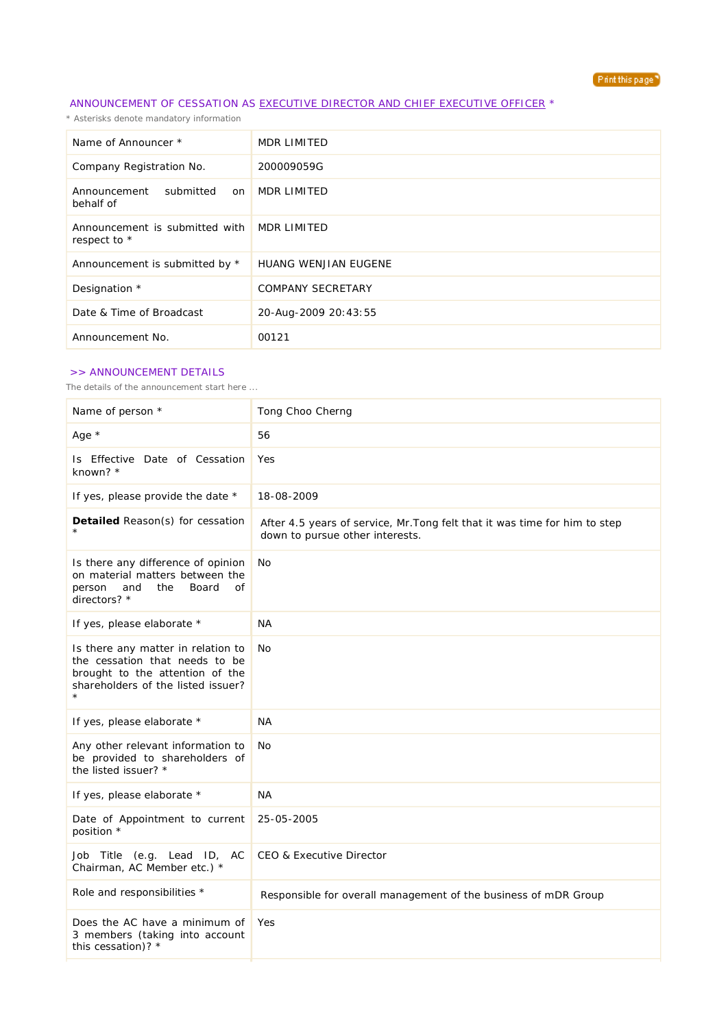

## ANNOUNCEMENT OF CESSATION AS EXECUTIVE DIRECTOR AND CHIEF EXECUTIVE OFFICER \*

*\* Asterisks denote mandatory information*

| Name of Announcer *                            | <b>MDR LIMITED</b>       |
|------------------------------------------------|--------------------------|
| Company Registration No.                       | 200009059G               |
| submitted<br>Announcement<br>on<br>behalf of   | <b>MDR LIMITED</b>       |
| Announcement is submitted with<br>respect to * | MDR LIMITED              |
| Announcement is submitted by *                 | HUANG WENJIAN EUGENE     |
| Designation *                                  | <b>COMPANY SECRETARY</b> |
| Date & Time of Broadcast                       | 20-Aug-2009 20:43:55     |
| Announcement No.                               | 00121                    |

## >> ANNOUNCEMENT DETAILS

*The details of the announcement start here ...*

| Name of person *                                                                                                                              | Tong Choo Cherng                                                                                              |
|-----------------------------------------------------------------------------------------------------------------------------------------------|---------------------------------------------------------------------------------------------------------------|
| Age *                                                                                                                                         | 56                                                                                                            |
| Is Effective Date of Cessation<br>known? *                                                                                                    | Yes                                                                                                           |
| If yes, please provide the date *                                                                                                             | 18-08-2009                                                                                                    |
| Detailed Reason(s) for cessation                                                                                                              | After 4.5 years of service, Mr. Tong felt that it was time for him to step<br>down to pursue other interests. |
| Is there any difference of opinion<br>on material matters between the<br>Board<br>person<br>and<br>the<br>of<br>directors? *                  | No                                                                                                            |
| If yes, please elaborate *                                                                                                                    | <b>NA</b>                                                                                                     |
| Is there any matter in relation to<br>the cessation that needs to be<br>brought to the attention of the<br>shareholders of the listed issuer? | No                                                                                                            |
| If yes, please elaborate *                                                                                                                    | <b>NA</b>                                                                                                     |
| Any other relevant information to<br>be provided to shareholders of<br>the listed issuer? *                                                   | No                                                                                                            |
| If yes, please elaborate *                                                                                                                    | <b>NA</b>                                                                                                     |
| Date of Appointment to current<br>position *                                                                                                  | 25-05-2005                                                                                                    |
| Job Title (e.g. Lead ID, AC<br>Chairman, AC Member etc.) *                                                                                    | <b>CEO &amp; Executive Director</b>                                                                           |
| Role and responsibilities *                                                                                                                   | Responsible for overall management of the business of mDR Group                                               |
| Does the AC have a minimum of<br>3 members (taking into account<br>this cessation)? *                                                         | Yes                                                                                                           |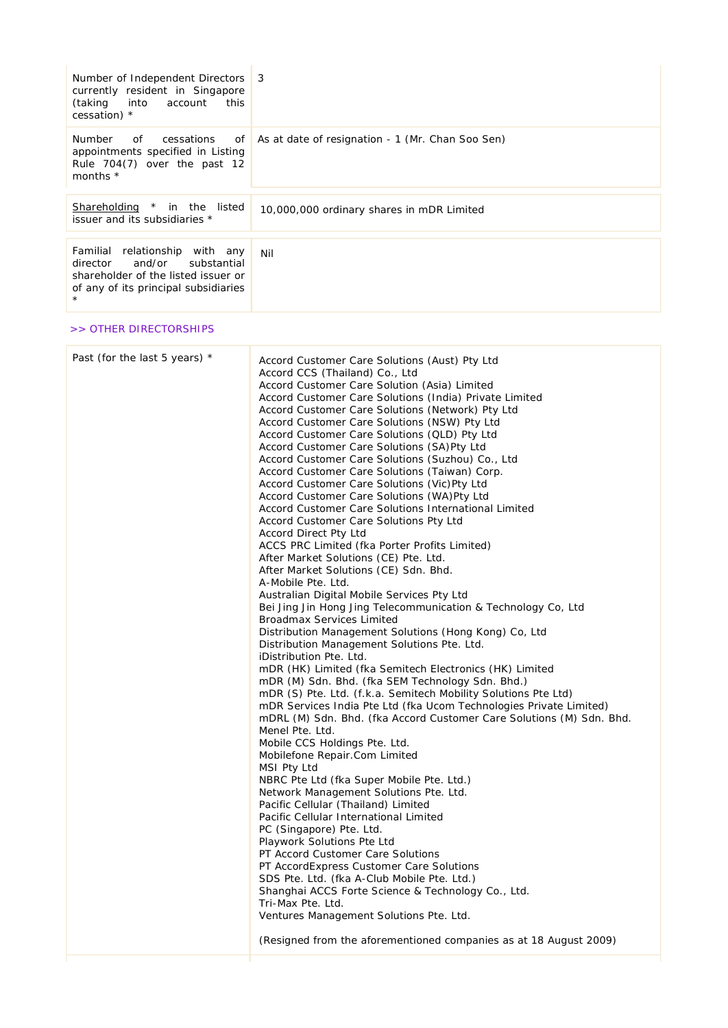| Number of Independent Directors<br>currently resident in Singapore<br>(taking<br>into<br>account<br>this<br>cessation) *                           | 3                                                                                                                                                                                                                                                                                                                                                                                                                                                                                                                                                                                                                                                                                                                                                                                                                                                                                                                                                                                                                                                                                                                                                                                                                                                                                                                                                                                                                                                                                                                                                                                                                                                                                                                                                                                                                                                                                                                                                                                                                                                                                                                                                                       |  |
|----------------------------------------------------------------------------------------------------------------------------------------------------|-------------------------------------------------------------------------------------------------------------------------------------------------------------------------------------------------------------------------------------------------------------------------------------------------------------------------------------------------------------------------------------------------------------------------------------------------------------------------------------------------------------------------------------------------------------------------------------------------------------------------------------------------------------------------------------------------------------------------------------------------------------------------------------------------------------------------------------------------------------------------------------------------------------------------------------------------------------------------------------------------------------------------------------------------------------------------------------------------------------------------------------------------------------------------------------------------------------------------------------------------------------------------------------------------------------------------------------------------------------------------------------------------------------------------------------------------------------------------------------------------------------------------------------------------------------------------------------------------------------------------------------------------------------------------------------------------------------------------------------------------------------------------------------------------------------------------------------------------------------------------------------------------------------------------------------------------------------------------------------------------------------------------------------------------------------------------------------------------------------------------------------------------------------------------|--|
| Number<br>of<br>cessations<br>of<br>appointments specified in Listing<br>Rule 704(7) over the past 12<br>months *                                  | As at date of resignation - 1 (Mr. Chan Soo Sen)                                                                                                                                                                                                                                                                                                                                                                                                                                                                                                                                                                                                                                                                                                                                                                                                                                                                                                                                                                                                                                                                                                                                                                                                                                                                                                                                                                                                                                                                                                                                                                                                                                                                                                                                                                                                                                                                                                                                                                                                                                                                                                                        |  |
| Shareholding * in the listed<br>issuer and its subsidiaries *                                                                                      | 10,000,000 ordinary shares in mDR Limited                                                                                                                                                                                                                                                                                                                                                                                                                                                                                                                                                                                                                                                                                                                                                                                                                                                                                                                                                                                                                                                                                                                                                                                                                                                                                                                                                                                                                                                                                                                                                                                                                                                                                                                                                                                                                                                                                                                                                                                                                                                                                                                               |  |
| Familial relationship with any<br>and/or<br>director<br>substantial<br>shareholder of the listed issuer or<br>of any of its principal subsidiaries | Nil                                                                                                                                                                                                                                                                                                                                                                                                                                                                                                                                                                                                                                                                                                                                                                                                                                                                                                                                                                                                                                                                                                                                                                                                                                                                                                                                                                                                                                                                                                                                                                                                                                                                                                                                                                                                                                                                                                                                                                                                                                                                                                                                                                     |  |
| >> OTHER DIRECTORSHIPS                                                                                                                             |                                                                                                                                                                                                                                                                                                                                                                                                                                                                                                                                                                                                                                                                                                                                                                                                                                                                                                                                                                                                                                                                                                                                                                                                                                                                                                                                                                                                                                                                                                                                                                                                                                                                                                                                                                                                                                                                                                                                                                                                                                                                                                                                                                         |  |
| Past (for the last 5 years) *                                                                                                                      | Accord Customer Care Solutions (Aust) Pty Ltd<br>Accord CCS (Thailand) Co., Ltd<br>Accord Customer Care Solution (Asia) Limited<br>Accord Customer Care Solutions (India) Private Limited<br>Accord Customer Care Solutions (Network) Pty Ltd<br>Accord Customer Care Solutions (NSW) Pty Ltd<br>Accord Customer Care Solutions (QLD) Pty Ltd<br>Accord Customer Care Solutions (SA)Pty Ltd<br>Accord Customer Care Solutions (Suzhou) Co., Ltd<br>Accord Customer Care Solutions (Taiwan) Corp.<br>Accord Customer Care Solutions (Vic)Pty Ltd<br>Accord Customer Care Solutions (WA)Pty Ltd<br>Accord Customer Care Solutions International Limited<br>Accord Customer Care Solutions Pty Ltd<br>Accord Direct Pty Ltd<br>ACCS PRC Limited (fka Porter Profits Limited)<br>After Market Solutions (CE) Pte. Ltd.<br>After Market Solutions (CE) Sdn. Bhd.<br>A-Mobile Pte. Ltd.<br>Australian Digital Mobile Services Pty Ltd<br>Bei Jing Jin Hong Jing Telecommunication & Technology Co, Ltd<br><b>Broadmax Services Limited</b><br>Distribution Management Solutions (Hong Kong) Co, Ltd<br>Distribution Management Solutions Pte. Ltd.<br>iDistribution Pte. Ltd.<br>mDR (HK) Limited (fka Semitech Electronics (HK) Limited<br>mDR (M) Sdn. Bhd. (fka SEM Technology Sdn. Bhd.)<br>mDR (S) Pte. Ltd. (f.k.a. Semitech Mobility Solutions Pte Ltd)<br>mDR Services India Pte Ltd (fka Ucom Technologies Private Limited)<br>mDRL (M) Sdn. Bhd. (fka Accord Customer Care Solutions (M) Sdn. Bhd.<br>Menel Pte. Ltd.<br>Mobile CCS Holdings Pte. Ltd.<br>Mobilefone Repair.Com Limited<br>MSI Pty Ltd<br>NBRC Pte Ltd (fka Super Mobile Pte. Ltd.)<br>Network Management Solutions Pte. Ltd.<br>Pacific Cellular (Thailand) Limited<br>Pacific Cellular International Limited<br>PC (Singapore) Pte. Ltd.<br>Playwork Solutions Pte Ltd<br>PT Accord Customer Care Solutions<br>PT AccordExpress Customer Care Solutions<br>SDS Pte. Ltd. (fka A-Club Mobile Pte. Ltd.)<br>Shanghai ACCS Forte Science & Technology Co., Ltd.<br>Tri-Max Pte. Ltd.<br>Ventures Management Solutions Pte. Ltd.<br>(Resigned from the aforementioned companies as at 18 August 2009) |  |